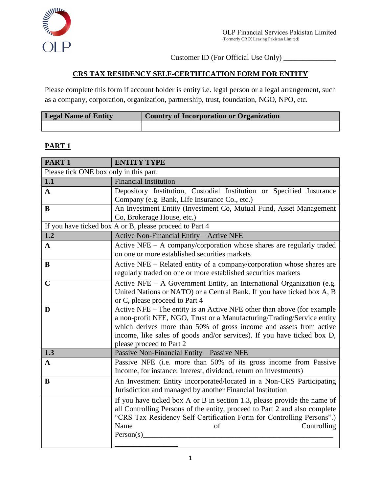

Customer ID (For Official Use Only) \_\_\_\_\_\_\_\_\_\_\_\_\_\_

# **CRS TAX RESIDENCY SELF-CERTIFICATION FORM FOR ENTITY**

Please complete this form if account holder is entity i.e. legal person or a legal arrangement, such as a company, corporation, organization, partnership, trust, foundation, NGO, NPO, etc.

| <b>Legal Name of Entity</b> | <b>Country of Incorporation or Organization</b> |
|-----------------------------|-------------------------------------------------|
|                             |                                                 |

## **PART 1**

| PART <sub>1</sub>                      | <b>ENTITY TYPE</b>                                                                                 |
|----------------------------------------|----------------------------------------------------------------------------------------------------|
| Please tick ONE box only in this part. |                                                                                                    |
| 1.1                                    | <b>Financial Institution</b>                                                                       |
| $\mathbf{A}$                           | Depository Institution, Custodial Institution or Specified Insurance                               |
|                                        | Company (e.g. Bank, Life Insurance Co., etc.)                                                      |
| B                                      | An Investment Entity (Investment Co, Mutual Fund, Asset Management                                 |
|                                        | Co, Brokerage House, etc.)                                                                         |
|                                        | If you have ticked box A or B, please proceed to Part 4                                            |
| 1.2                                    | Active Non-Financial Entity - Active NFE                                                           |
| $\mathbf{A}$                           | Active NFE $-$ A company/corporation whose shares are regularly traded                             |
|                                        | on one or more established securities markets                                                      |
| B                                      | Active NFE - Related entity of a company/corporation whose shares are                              |
|                                        | regularly traded on one or more established securities markets                                     |
| $\mathbf C$                            | Active NFE - A Government Entity, an International Organization (e.g.                              |
|                                        | United Nations or NATO) or a Central Bank. If you have ticked box A, B                             |
|                                        | or C, please proceed to Part 4                                                                     |
| D                                      | Active NFE – The entity is an Active NFE other than above (for example                             |
|                                        | a non-profit NFE, NGO, Trust or a Manufacturing/Trading/Service entity                             |
|                                        | which derives more than 50% of gross income and assets from active                                 |
|                                        | income, like sales of goods and/or services). If you have ticked box D,                            |
| 1.3                                    | please proceed to Part 2<br>Passive Non-Financial Entity - Passive NFE                             |
|                                        | Passive NFE (i.e. more than 50% of its gross income from Passive                                   |
| $\mathbf A$                            | Income, for instance: Interest, dividend, return on investments)                                   |
|                                        |                                                                                                    |
| $\bf{B}$                               | An Investment Entity incorporated/located in a Non-CRS Participating                               |
|                                        | Jurisdiction and managed by another Financial Institution                                          |
|                                        | If you have ticked box A or B in section 1.3, please provide the name of                           |
|                                        | all Controlling Persons of the entity, proceed to Part 2 and also complete                         |
|                                        | "CRS Tax Residency Self Certification Form for Controlling Persons".)<br>Name<br>Controlling<br>of |
|                                        | Person(s)                                                                                          |
|                                        |                                                                                                    |
|                                        |                                                                                                    |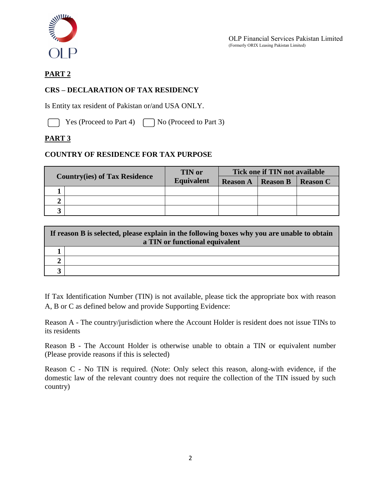

# **PART 2**

### **CRS – DECLARATION OF TAX RESIDENCY**

Is Entity tax resident of Pakistan or/and USA ONLY.

Yes (Proceed to Part 4)  $\Box$  No (Proceed to Part 3)

## **PART 3**

#### **COUNTRY OF RESIDENCE FOR TAX PURPOSE**

|  |                                      | <b>TIN</b> or     | Tick one if TIN not available |                 |                 |
|--|--------------------------------------|-------------------|-------------------------------|-----------------|-----------------|
|  | <b>Country(ies) of Tax Residence</b> | <b>Equivalent</b> | <b>Reason A</b>               | <b>Reason B</b> | <b>Reason C</b> |
|  |                                      |                   |                               |                 |                 |
|  |                                      |                   |                               |                 |                 |
|  |                                      |                   |                               |                 |                 |

| If reason B is selected, please explain in the following boxes why you are unable to obtain<br>a TIN or functional equivalent |  |  |
|-------------------------------------------------------------------------------------------------------------------------------|--|--|
|                                                                                                                               |  |  |
|                                                                                                                               |  |  |
|                                                                                                                               |  |  |

If Tax Identification Number (TIN) is not available, please tick the appropriate box with reason A, B or C as defined below and provide Supporting Evidence:

Reason A - The country/jurisdiction where the Account Holder is resident does not issue TINs to its residents

Reason B - The Account Holder is otherwise unable to obtain a TIN or equivalent number (Please provide reasons if this is selected)

Reason C - No TIN is required. (Note: Only select this reason, along-with evidence, if the domestic law of the relevant country does not require the collection of the TIN issued by such country)